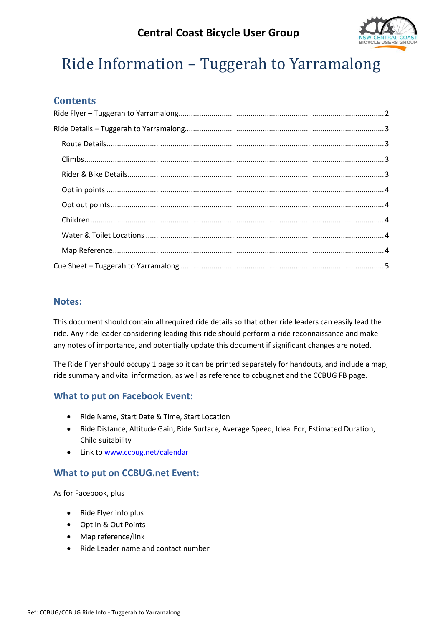# **Central Coast Bicycle User Group**



# Ride Information – Tuggerah to Yarramalong

## **Contents**

#### **Notes:**

This document should contain all required ride details so that other ride leaders can easily lead the ride. Any ride leader considering leading this ride should perform a ride reconnaissance and make any notes of importance, and potentially update this document if significant changes are noted.

The Ride Flyer should occupy 1 page so it can be printed separately for handouts, and include a map, ride summary and vital information, as well as reference to ccbug.net and the CCBUG FB page.

## **What to put on Facebook Event:**

- Ride Name, Start Date & Time, Start Location
- Ride Distance, Altitude Gain, Ride Surface, Average Speed, Ideal For, Estimated Duration, Child suitability
- Link to [www.ccbug.net/calendar](http://www.ccbug.net/calendar)

## **What to put on CCBUG.net Event:**

As for Facebook, plus

- Ride Flyer info plus
- Opt In & Out Points
- Map reference/link
- Ride Leader name and contact number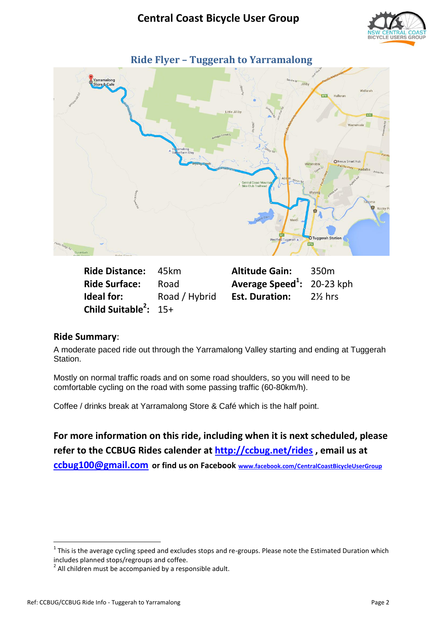

<span id="page-1-0"></span>

**Ride Distance: 45km Ride Surface:** Road **Ideal for:** Road / Hybrid **Child Suitable<sup>2</sup> :** 15+

| <b>Altitude Gain:</b>                  | 350 <sub>m</sub>   |
|----------------------------------------|--------------------|
| Average Speed <sup>1</sup> : 20-23 kph |                    |
| <b>Est. Duration:</b>                  | $2\frac{1}{2}$ hrs |

#### **Ride Summary**:

A moderate paced ride out through the Yarramalong Valley starting and ending at Tuggerah Station.

Mostly on normal traffic roads and on some road shoulders, so you will need to be comfortable cycling on the road with some passing traffic (60-80km/h).

Coffee / drinks break at Yarramalong Store & Café which is the half point.

**For more information on this ride, including when it is next scheduled, please refer to the CCBUG Rides calender at<http://ccbug.net/rides> , email us at [ccbug100@gmail.com](mailto:ccbug100@gmail.com) or find us on Facebook [www.facebook.com/CentralCoastBicycleUserGroup](http://www.facebook.com/CentralCoastBicycleUserGroup)**

**.** 

 $1$  This is the average cycling speed and excludes stops and re-groups. Please note the Estimated Duration which includes planned stops/regroups and coffee.

 $2$  All children must be accompanied by a responsible adult.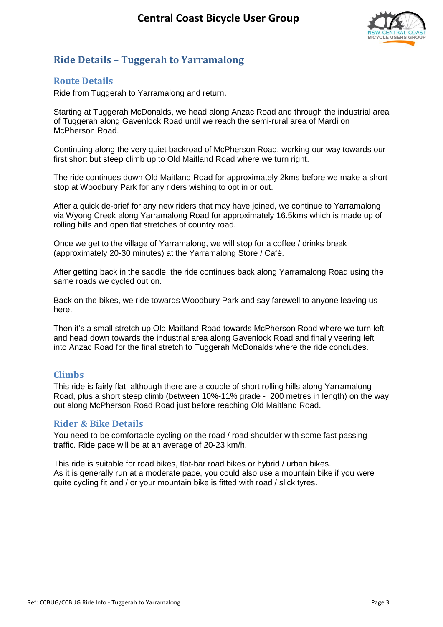

## <span id="page-2-0"></span>**Ride Details – Tuggerah to Yarramalong**

#### <span id="page-2-1"></span>**Route Details**

Ride from Tuggerah to Yarramalong and return.

Starting at Tuggerah McDonalds, we head along Anzac Road and through the industrial area of Tuggerah along Gavenlock Road until we reach the semi-rural area of Mardi on McPherson Road.

Continuing along the very quiet backroad of McPherson Road, working our way towards our first short but steep climb up to Old Maitland Road where we turn right.

The ride continues down Old Maitland Road for approximately 2kms before we make a short stop at Woodbury Park for any riders wishing to opt in or out.

After a quick de-brief for any new riders that may have joined, we continue to Yarramalong via Wyong Creek along Yarramalong Road for approximately 16.5kms which is made up of rolling hills and open flat stretches of country road.

Once we get to the village of Yarramalong, we will stop for a coffee / drinks break (approximately 20-30 minutes) at the Yarramalong Store / Café.

After getting back in the saddle, the ride continues back along Yarramalong Road using the same roads we cycled out on.

Back on the bikes, we ride towards Woodbury Park and say farewell to anyone leaving us here.

Then it's a small stretch up Old Maitland Road towards McPherson Road where we turn left and head down towards the industrial area along Gavenlock Road and finally veering left into Anzac Road for the final stretch to Tuggerah McDonalds where the ride concludes.

#### <span id="page-2-2"></span>**Climbs**

This ride is fairly flat, although there are a couple of short rolling hills along Yarramalong Road, plus a short steep climb (between 10%-11% grade - 200 metres in length) on the way out along McPherson Road Road just before reaching Old Maitland Road.

#### <span id="page-2-3"></span>**Rider & Bike Details**

You need to be comfortable cycling on the road / road shoulder with some fast passing traffic. Ride pace will be at an average of 20-23 km/h.

This ride is suitable for road bikes, flat-bar road bikes or hybrid / urban bikes. As it is generally run at a moderate pace, you could also use a mountain bike if you were quite cycling fit and / or your mountain bike is fitted with road / slick tyres.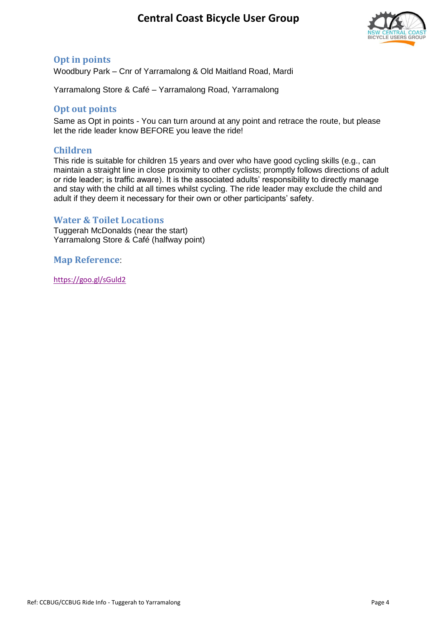# **Central Coast Bicycle User Group**



## <span id="page-3-0"></span>**Opt in points**

Woodbury Park – Cnr of Yarramalong & Old Maitland Road, Mardi

Yarramalong Store & Café – Yarramalong Road, Yarramalong

#### <span id="page-3-1"></span>**Opt out points**

Same as Opt in points - You can turn around at any point and retrace the route, but please let the ride leader know BEFORE you leave the ride!

#### <span id="page-3-2"></span>**Children**

This ride is suitable for children 15 years and over who have good cycling skills (e.g., can maintain a straight line in close proximity to other cyclists; promptly follows directions of adult or ride leader; is traffic aware). It is the associated adults' responsibility to directly manage and stay with the child at all times whilst cycling. The ride leader may exclude the child and adult if they deem it necessary for their own or other participants' safety.

#### <span id="page-3-3"></span>**Water & Toilet Locations**

Tuggerah McDonalds (near the start) Yarramalong Store & Café (halfway point)

<span id="page-3-4"></span>**Map Reference**:

<https://goo.gl/sGuld2>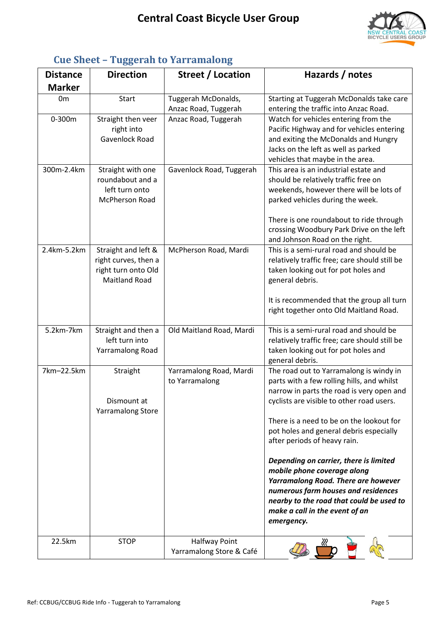

| <b>Distance</b> | <b>Direction</b>         | Street / Location        | Hazards / notes                               |
|-----------------|--------------------------|--------------------------|-----------------------------------------------|
| <b>Marker</b>   |                          |                          |                                               |
| 0 <sub>m</sub>  | <b>Start</b>             | Tuggerah McDonalds,      | Starting at Tuggerah McDonalds take care      |
|                 |                          | Anzac Road, Tuggerah     | entering the traffic into Anzac Road.         |
| 0-300m          | Straight then veer       | Anzac Road, Tuggerah     | Watch for vehicles entering from the          |
|                 | right into               |                          | Pacific Highway and for vehicles entering     |
|                 | Gavenlock Road           |                          | and exiting the McDonalds and Hungry          |
|                 |                          |                          | Jacks on the left as well as parked           |
|                 |                          |                          | vehicles that maybe in the area.              |
| 300m-2.4km      | Straight with one        | Gavenlock Road, Tuggerah | This area is an industrial estate and         |
|                 | roundabout and a         |                          | should be relatively traffic free on          |
|                 | left turn onto           |                          | weekends, however there will be lots of       |
|                 | McPherson Road           |                          | parked vehicles during the week.              |
|                 |                          |                          | There is one roundabout to ride through       |
|                 |                          |                          | crossing Woodbury Park Drive on the left      |
|                 |                          |                          | and Johnson Road on the right.                |
| 2.4km-5.2km     | Straight and left &      | McPherson Road, Mardi    | This is a semi-rural road and should be       |
|                 | right curves, then a     |                          | relatively traffic free; care should still be |
|                 | right turn onto Old      |                          | taken looking out for pot holes and           |
|                 | <b>Maitland Road</b>     |                          | general debris.                               |
|                 |                          |                          | It is recommended that the group all turn     |
|                 |                          |                          | right together onto Old Maitland Road.        |
|                 |                          |                          |                                               |
| 5.2km-7km       | Straight and then a      | Old Maitland Road, Mardi | This is a semi-rural road and should be       |
|                 | left turn into           |                          | relatively traffic free; care should still be |
|                 | Yarramalong Road         |                          | taken looking out for pot holes and           |
|                 |                          |                          | general debris.                               |
| 7km-22.5km      | Straight                 | Yarramalong Road, Mardi  | The road out to Yarramalong is windy in       |
|                 |                          | to Yarramalong           | parts with a few rolling hills, and whilst    |
|                 |                          |                          | narrow in parts the road is very open and     |
|                 | Dismount at              |                          | cyclists are visible to other road users.     |
|                 | <b>Yarramalong Store</b> |                          |                                               |
|                 |                          |                          | There is a need to be on the lookout for      |
|                 |                          |                          | pot holes and general debris especially       |
|                 |                          |                          | after periods of heavy rain.                  |
|                 |                          |                          | Depending on carrier, there is limited        |
|                 |                          |                          | mobile phone coverage along                   |
|                 |                          |                          | Yarramalong Road. There are however           |
|                 |                          |                          | numerous farm houses and residences           |
|                 |                          |                          | nearby to the road that could be used to      |
|                 |                          |                          | make a call in the event of an                |
|                 |                          |                          | emergency.                                    |
|                 |                          |                          |                                               |
| 22.5km          | <b>STOP</b>              | <b>Halfway Point</b>     |                                               |
|                 |                          | Yarramalong Store & Café |                                               |

## <span id="page-4-0"></span>**Cue Sheet – Tuggerah to Yarramalong**